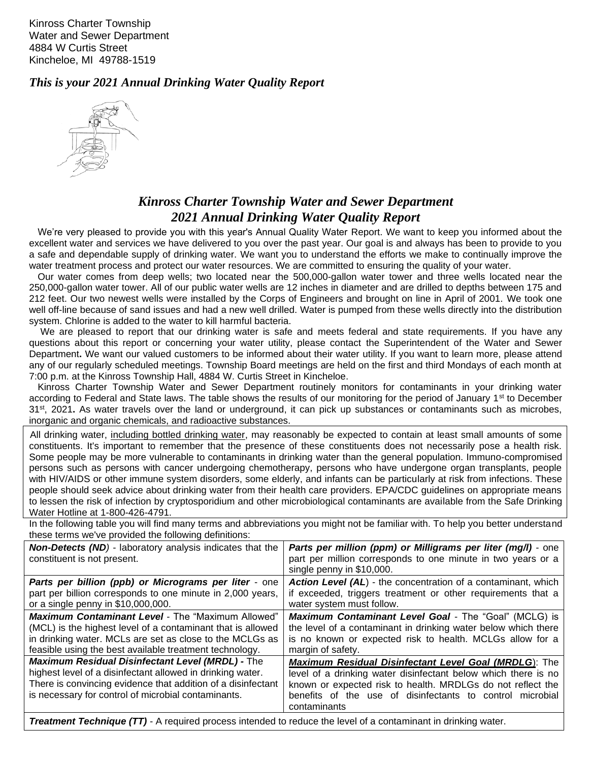Kinross Charter Township Water and Sewer Department 4884 W Curtis Street Kincheloe, MI 49788-1519

*This is your 2021 Annual Drinking Water Quality Report*



## *Kinross Charter Township Water and Sewer Department 2021 Annual Drinking Water Quality Report*

We're very pleased to provide you with this year's Annual Quality Water Report. We want to keep you informed about the excellent water and services we have delivered to you over the past year. Our goal is and always has been to provide to you a safe and dependable supply of drinking water. We want you to understand the efforts we make to continually improve the water treatment process and protect our water resources. We are committed to ensuring the quality of your water.

Our water comes from deep wells; two located near the 500,000-gallon water tower and three wells located near the 250,000-gallon water tower. All of our public water wells are 12 inches in diameter and are drilled to depths between 175 and 212 feet. Our two newest wells were installed by the Corps of Engineers and brought on line in April of 2001. We took one well off-line because of sand issues and had a new well drilled. Water is pumped from these wells directly into the distribution system. Chlorine is added to the water to kill harmful bacteria.

We are pleased to report that our drinking water is safe and meets federal and state requirements. If you have any questions about this report or concerning your water utility, please contact the Superintendent of the Water and Sewer Department**.** We want our valued customers to be informed about their water utility. If you want to learn more, please attend any of our regularly scheduled meetings. Township Board meetings are held on the first and third Mondays of each month at 7:00 p.m. at the Kinross Township Hall, 4884 W. Curtis Street in Kincheloe.

Kinross Charter Township Water and Sewer Department routinely monitors for contaminants in your drinking water according to Federal and State laws. The table shows the results of our monitoring for the period of January 1<sup>st</sup> to December 31st , 2021**.** As water travels over the land or underground, it can pick up substances or contaminants such as microbes, inorganic and organic chemicals, and radioactive substances.

 All drinking water, including bottled drinking water, may reasonably be expected to contain at least small amounts of some constituents. It's important to remember that the presence of these constituents does not necessarily pose a health risk. Some people may be more vulnerable to contaminants in drinking water than the general population. Immuno-compromised persons such as persons with cancer undergoing chemotherapy, persons who have undergone organ transplants, people with HIV/AIDS or other immune system disorders, some elderly, and infants can be particularly at risk from infections. These people should seek advice about drinking water from their health care providers. EPA/CDC guidelines on appropriate means to lessen the risk of infection by cryptosporidium and other microbiological contaminants are available from the Safe Drinking Water Hotline at 1-800-426-4791.

In the following table you will find many terms and abbreviations you might not be familiar with. To help you better understand these terms we've provided the following definitions:

| <b>Non-Detects (ND)</b> - laboratory analysis indicates that the<br>constituent is not present.                                                                                                                                              | Parts per million (ppm) or Milligrams per liter (mg/l) - one<br>part per million corresponds to one minute in two years or a<br>single penny in \$10,000.                                                                                                                  |
|----------------------------------------------------------------------------------------------------------------------------------------------------------------------------------------------------------------------------------------------|----------------------------------------------------------------------------------------------------------------------------------------------------------------------------------------------------------------------------------------------------------------------------|
| Parts per billion (ppb) or Micrograms per liter - one                                                                                                                                                                                        | <b>Action Level (AL)</b> - the concentration of a contaminant, which                                                                                                                                                                                                       |
| part per billion corresponds to one minute in 2,000 years,                                                                                                                                                                                   | if exceeded, triggers treatment or other requirements that a                                                                                                                                                                                                               |
| or a single penny in \$10,000,000.                                                                                                                                                                                                           | water system must follow.                                                                                                                                                                                                                                                  |
| <b>Maximum Contaminant Level - The "Maximum Allowed"</b>                                                                                                                                                                                     | <b>Maximum Contaminant Level Goal - The "Goal" (MCLG) is</b>                                                                                                                                                                                                               |
| (MCL) is the highest level of a contaminant that is allowed                                                                                                                                                                                  | the level of a contaminant in drinking water below which there                                                                                                                                                                                                             |
| in drinking water. MCLs are set as close to the MCLGs as                                                                                                                                                                                     | is no known or expected risk to health. MCLGs allow for a                                                                                                                                                                                                                  |
| feasible using the best available treatment technology.                                                                                                                                                                                      | margin of safety.                                                                                                                                                                                                                                                          |
| <b>Maximum Residual Disinfectant Level (MRDL) - The</b><br>highest level of a disinfectant allowed in drinking water.<br>There is convincing evidence that addition of a disinfectant<br>is necessary for control of microbial contaminants. | <b>Maximum Residual Disinfectant Level Goal (MRDLG): The</b><br>level of a drinking water disinfectant below which there is no<br>known or expected risk to health. MRDLGs do not reflect the<br>benefits of the use of disinfectants to control microbial<br>contaminants |

*Treatment Technique (TT)* - A required process intended to reduce the level of a contaminant in drinking water.